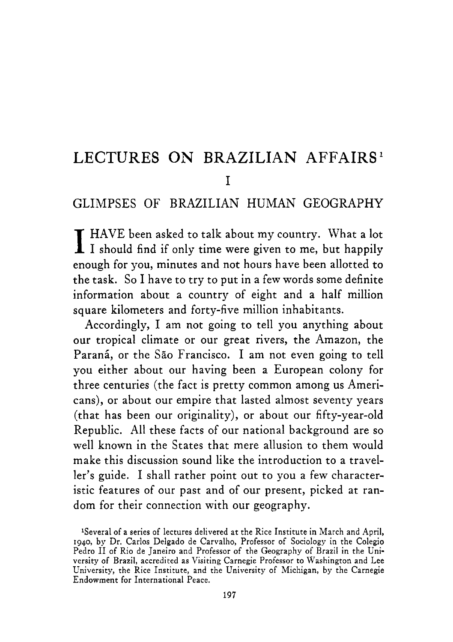# LECTURES ON BRAZILIAN AFFAIRS<sup>1</sup> I

### GLIMPSES OF BRAZILIAN HUMAN GEOGRAPHY

I HAVE been asked to talk about my country. What a lot I should find if only time were given to me, but happily enough for you, minutes and not hours have been allotted to the task. So I have to try to put in a few words some definite information about a country of eight and a half million square kilometers and forty-five million inhabitants.

Accordingly, I am not going to tell you anything about our tropical climate or our great rivers, the Amazon, the Paraná, or the São Francisco. I am not even going to tell you either about our having been a European colony for three centuries (the fact is pretty common among us Americans), or about our empire that lasted almost seventy years (that has been our originality), or about our fifty-year-old Republic. All these facts of our national background are so well known in the States that mere allusion to them would make this discussion sound like the introduction to a traveller's guide. I shall rather point out to you a few characteristic features of our past and of our present, picked at random for their connection with our geography.

<sup>&#</sup>x27;Several of a series of lectures delivered at the Rice Institute in March and April, **1940,** by Dr. Carlos Delgado de Carvalho, Professor of Sociology in the Colegio Pedro I1 of Rio de Janeiro and Professor of the Geography of Brazil in the University of Brazil, accredited as Visiting Carnegie Professor to Washington and Lee University, the Rice Institute, and the University of Michigan, by the Carnegie Endowment for International Peace.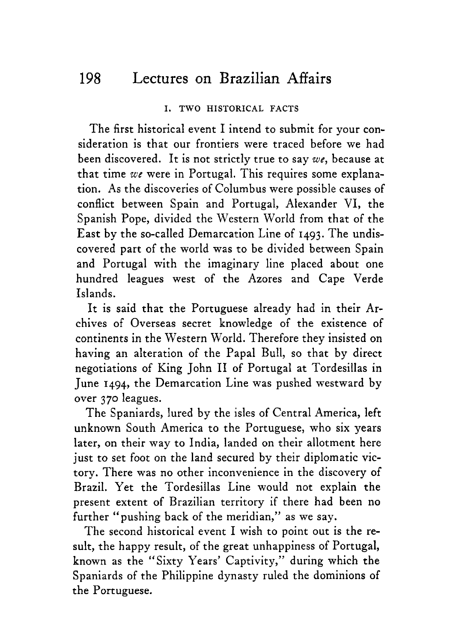#### I. TWO HISTORICAL FACTS

The first historical event I intend to submit for your consideration is that our frontiers were traced before we had been discovered. It is not strictly true to say *we,* because at that time *we* were in Portugal. This requires some explanation. As the discoveries of Columbus were possible causes of conflict between Spain and Portugal, Alexander VI, the Spanish Pope, divided the Western World from that of the East by the so-called Demarcation Line of **1493.** The undiscovered part of the world was to be divided between Spain and Portugal with the imaginary line placed about one hundred leagues west of the Azores and Cape Verde Islands.

It is said that the Portuguese already had in their Archives of Overseas secret knowledge of the existence of continents in the Western World. Therefore they insisted on having an alteration of the Papal Bull, so that by direct negotiations of King John I1 of Portugal at Tordesillas in June **1494,** the Demarcation Line was pushed westward by over **370** leagues.

The Spaniards, lured by the isles of Central America, left unknown South America to the Portuguese, who six years later, on their way to India, landed on their allotment here just to set foot on the land secured by their diplomatic victory. There was no other inconvenience in the discovery of Brazil. Yet the Tordesillas Line would not explain the present extent of Brazilian territory if there had been no further "pushing back of the meridian," as we say.

The second historical event I wish to point out is the result, the happy result, of the great unhappiness of Portugal, known as the "Sixty Years' Captivity,'' during which the Spaniards of the Philippine dynasty ruled the dominions of the Portuguese.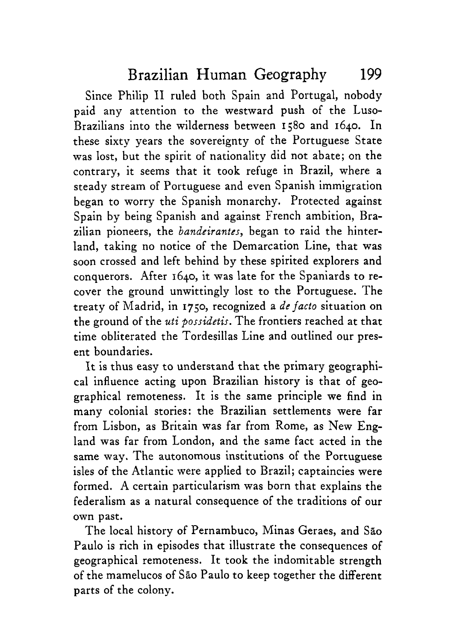Since Philip I1 ruled both Spain and Portugal, nobody paid any attention to the westward push of the Luso-Brazilians into the wilderness between 1580 and 1640. In these sixty years the sovereignty of the Portuguese State was lost, but the spirit of nationality did not abate; on the contrary, it seems that it took refuge in Brazil, where **a**  steady stream of Portuguese and even Spanish immigration began to worry the Spanish monarchy. Protected against Spain by being Spanish and against French ambition, Brazilian pioneers, the *bandeirantes,* began to raid the hinterland, taking no notice of the Demarcation Line, that was soon crossed and left behind by these spirited explorers and conquerors. After 1640, it was late for the Spaniards to recover the ground unwittingly lost to the Portuguese. The treaty of Madrid, in **1750,** recognized **a** *de facto* situation on the ground of the *uti possidetis.* The frontiers reached at that time obliterated the Tordesillas Line and outlined our present boundaries.

It is thus easy to understand that the primary geographical influence acting upon Brazilian history is that of geographical remoteness. It is the same principle we find in many colonial stories: the Brazilian settlements were far from Lisbon, as Britain was far from Rome, as New England was far from London, and the same fact acted in the same way. The autonomous institutions of the Portuguese isles of the Atlantic were applied to Brazil; captaincies were formed. A certain particularism was born that explains the federalism as a natural consequence of the traditions of our own past.

The local history of Pernambuco, Minas Geraes, and Sao Paulo is rich in episodes that illustrate the consequences of geographical remoteness. It took the indomitable strength of the mamelucos of Sao Paulo to keep together the different parts of the colony.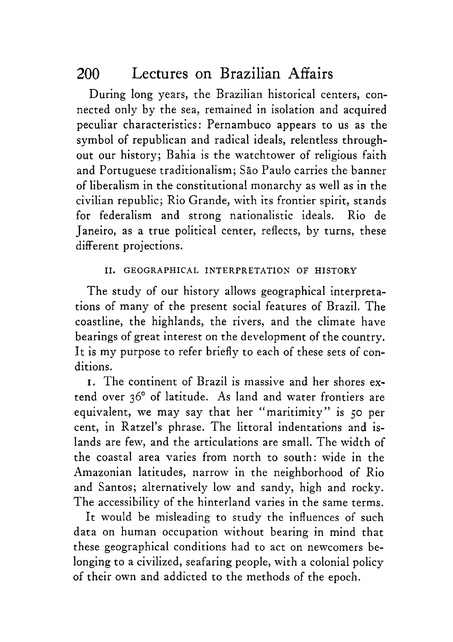During long years, the Brazilian historical centers, connected only by the sea, remained in isolation and acquired peculiar characteristics: Pernambuco appears to us as the symbol of republican and radical ideals, relentless throughout our history; Bahia is the watchtower of religious faith and Portuguese traditionalism; São Paulo carries the banner of liberalism in the constitutional monarchy as well as in the civilian republic; Rio Grande, with its frontier spirit, stands for federalism and strong nationalistic ideals. Rio de Janeiro, as a true political center, reflects, by turns, these different projections.

### 11. GEOGRAPHICAL INTERFRETATION OF HISTORY

The study of our history allows geographical interpretations of many of the present social features of Brazil. The coastline, the highlands, the rivers, and the climate have bearings of great interest on the development of the country. It is my purpose to refer briefly to each of these sets of conditions.

**I.** The continent of Brazil is massive and her shores extend over 36" of latitude. **As** land and water frontiers are equivalent, we may say that her "maritimity" is **50** per cent, in Ratzel's phrase. The littoral indentations and islands are few, and the articulations are small. The width of the coastal area varies from north to south: wide in the Amazonian latitudes, narrow in the neighborhood of Rio and Santos; alternatively low and sandy, high and rocky. The accessibility of the hinterland varies in the same terms.

It would be misleading to study the influences of such data on human occupation without bearing in mind that these geographical conditions had to act on newcomers belonging to a civilized, seafaring people, with a colonial policy of their own and addicted to the methods of the epoch.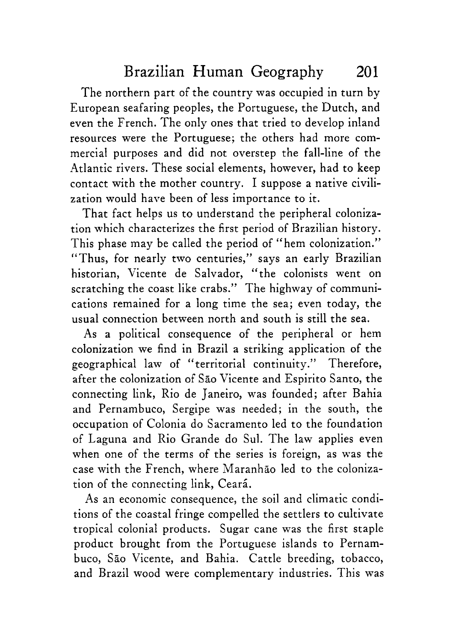The northern part of the country was occupied in turn by European seafaring peoples, the Portuguese, the Dutch, and even the French. The only ones that tried to develop inland resources were the Portuguese; the others had more commercial purposes and did not overstep the fall-line of the Atlantic rivers. These social elements, however, had to keep contact with the mother country. I suppose a native civilization would have been of less importance to it.

That fact helps us to understand the peripheral colonization which characterizes the first period of Brazilian history. This phase may be called the period of "hem colonization." "Thus, for nearly two centuries," says an early Brazilian historian, Vicente de Salvador, "the colonists went on scratching the coast like crabs." The highway of communications remained for a long time the sea; even today, the usual connection between north and south is still the sea.

As a political consequence of the peripheral or hem colonization we find in Brazil a striking application of the geographical law of "territorial continuity." Therefore, after the colonization of São Vicente and Espirito Santo, the connecting link, Rio de Janeiro, was founded; after Bahia and Pernambuco, Sergipe was needed; in the south, the occupation of Colonia do Sacramento led to the foundation of Laguna and Rio Grande do SUI. The law applies even when one of the terms of the series is foreign, as was the case with the French, where Maranhão led to the colonization of the connecting link, Ceará.

**As** an economic consequence, the soil and climatic conditions of the coastal fringe compelled the settlers to cultivate tropical colonial products. Sugar cane was the first staple product brought from the Portuguese islands to Pernambuco, São Vicente, and Bahia. Cattle breeding, tobacco, and Brazil wood were complementary industries. This was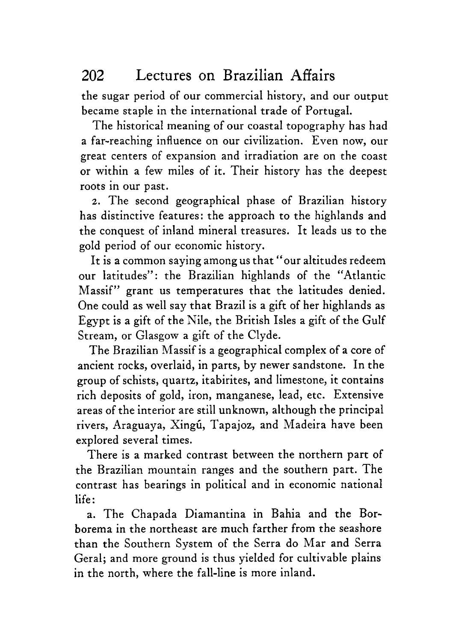the sugar period of our commercial history, and our output became staple in the international trade of Portugal.

The historical meaning of our coastal topography has had a far-reaching influence on our civilization. Even now, our great centers of expansion and irradiation are on the coast or within a few miles of it. Their history has the deepest roots in our past.

**2.** The second geographical phase of Brazilian history has distinctive features: the approach to the highlands and the conquest of inland mineral treasures. It leads us to the gold period of our economic history.

It is a common saying among us that "our altitudes redeem our latitudes": the Brazilian highlands of the "Atlantic Massif" grant us temperatures that the latitudes denied. One could as well say that Brazil is a gift of her highlands as Egypt is a gift of the Nile, the British Isles a gift of the Gulf Stream, or Glasgow a gift of the Clyde.

The Brazilian Massif is a geographical complex of a core of ancient rocks, overlaid, in parts, by newer sandstone. In the group of schists, quartz, itabirites, and limestone, it contains rich deposits of gold, iron, manganese, lead, etc. Extensive areas of the interior are still unknown, although the principal rivers, Araguaya, Xingú, Tapajoz, and Madeira have been explored several times.

There is a marked contrast between the northern part of the Brazilian mountain ranges and the southern part. The contrast has bearings in political and in economic national life :

**a.** The Chapada Diamantina in Bahia and the Borborema in the northeast are much farther from the seashore than the Southern System of the Serra do Mar and Serra Geral; and more ground is thus yielded for cultivable plains in the north, where the fall-line is more inland.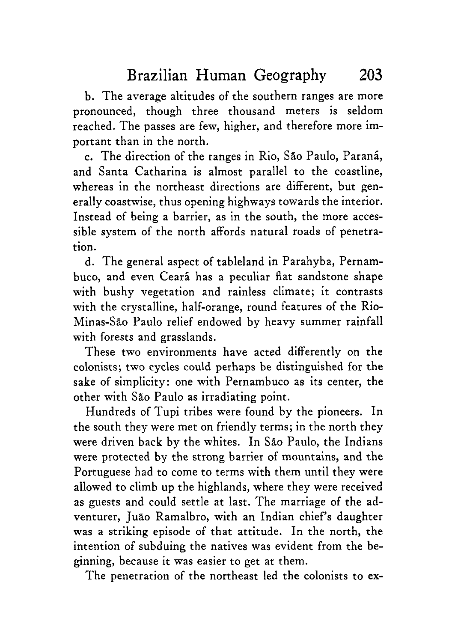b. The average altitudes of the southern ranges are more pronounced, though three thousand meters is seldom reached. The passes are few, higher, and therefore more important than in the north.

c. The direction of the ranges in Rio, Sao Paulo, Parani, and Santa Catharina is almost parallel to the coastline, whereas in the northeast directions are different, but generally coastwise, thus opening highways towards the interior. Instead of being a barrier, as in the south, the more accessible system of the north affords natural roads of penetration.

d. The general aspect of tableland in Parahyba, Pernambuco, and even Ceará has a peculiar flat sandstone shape with bushy vegetation and rainless climate; it contrasts with the crystalline, half-orange, round features of the Rio-Minas-Sao Paulo relief endowed by heavy summer rainfall with forests and grasslands.

These two environments have acted differently on the colonists; two cycles could perhaps be distinguished for the sake of simplicity: one with Pernambuco as its center, the other with Sao Paulo as irradiating point.

Hundreds of Tupi tribes were found by the pioneers. In the south they were met on friendly terms; in the north they were driven back by the whites. In Sao Paulo, the Indians were protected by the strong barrier of mountains, and the Portuguese had to come to terms with them until they were allowed to climb up the highlands, where they were received as guests and could settle at last. The marriage of the adventurer, Juão Ramalbro, with an Indian chief's daughter was a striking episode of that attitude. In the north, the intention of subduing the natives was evident from the beginning, because it was easier to get at them.

The penetration of the northeast led the colonists to **ex-**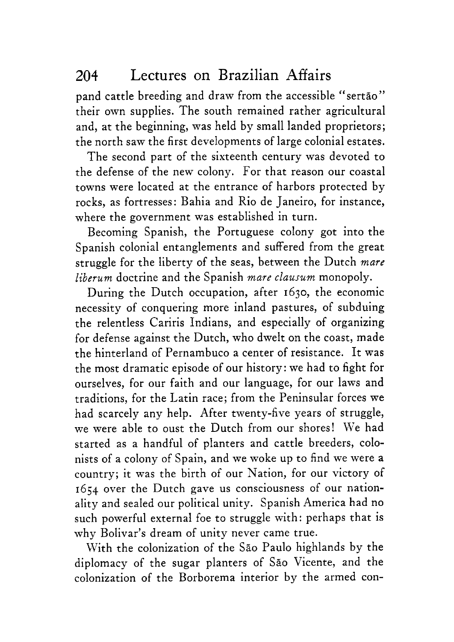pand cattle breeding and draw from the accessible "sertao" their own supplies. The south remained rather agricultural and, at the beginning, was held by small landed proprietors; the north saw the first developments of large colonial estates.

The second part of the sixteenth century was devoted to the defense of the new colony. For that reason our coastal towns were located at the entrance of harbors protected by rocks, as fortresses: Bahia and Rio de Janeiro, for instance, where the government was established in turn.

Becoming Spanish, the Portuguese colony got into the Spanish colonial entanglements and suffered from the great struggle for the liberty of the seas, between the Dutch *mare liberum* doctrine and the Spanish *mare clausum* monopoly.

During the Dutch occupation, after 1630, the economic necessity of conquering more inland pastures, of subduing the relentless Cariris Indians, and especially of organizing for defense against the Dutch, who dwelt on the coast, made the hinterland of Pernambuco a center of resistance. It was the most dramatic episode of our history: we had to fight for ourselves, for our faith and our language, for our laws and traditions, for the Latin race; from the Peninsular forces we had scarcely any help. After twenty-five years of struggle, we were able to oust the Dutch from our shores! We had started as a handful of planters and cattle breeders, colonists of a colony of Spain, and we woke up to find we were a country; it was the birth of our Nation, for our victory of 1654 over the Dutch gave us consciousness of our nationality and sealed our political unity. Spanish America had no such powerful external foe to struggle with: perhaps that is why Bolivar's dream of unity never came true.

With the colonization of the São Paulo highlands by the diplomacy of the sugar planters of Sao Vicente, and the colonization of the Borborema interior by the armed con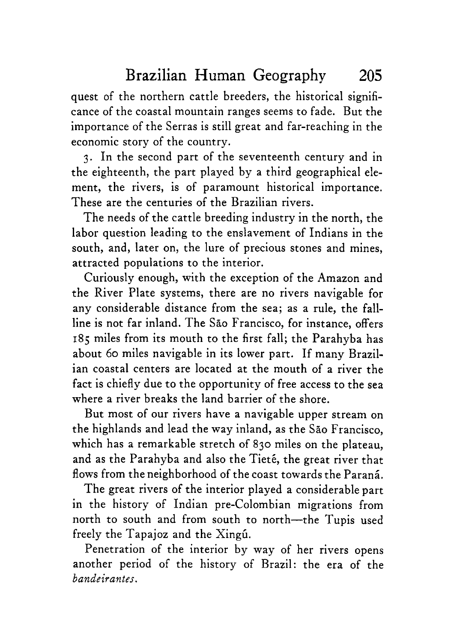quest of the northern cattle breeders, the historical significance of the coastal mountain ranges seems to fade. But the importance of the Serras is still great and far-reaching in the economic story of the country.

3. In the second part of the seventeenth century and in the eighteenth, the part played by a third geographical element, the rivers, is of paramount historical importance. These are the centuries of the Brazilian rivers.

The needs of the cattle breeding industry in the north, the labor question leading to the enslavement of Indians in the south, and, later on, the lure of precious stones and mines, attracted populations to the interior.

Curiously enough, with the exception of the Amazon and the River Plate systems, there are no rivers navigable for any considerable distance from the sea; as a rule, the fallline is not far inland. The Sao Francisco, for instance, offers **185** miles from its mouth to the first fall; the Parahyba has about 60 miles navigable in its lower part. If many Brazilian coastal centers are located at the mouth of a river the fact is chiefly due to the opportunity of free access to the sea where a river breaks the land barrier of the shore.

But most of our rivers have a navigable upper stream on the highlands and lead the way inland, as the Sao Francisco, which has a remarkable stretch of 830 miles on the plateau, and as the Parahyba and also the Tieté, the great river that flows from the neighborhood of the coast towards the Paraná.

The great rivers of the interior played a considerable part in the history of Indian pre-Colombian migrations from north to south and from south to north-the Tupis used freely the Tapajoz and the XingG.

Penetration of the interior by way of her rivers opens another period of the history of Brazil: the era of the  $bandeirantes.$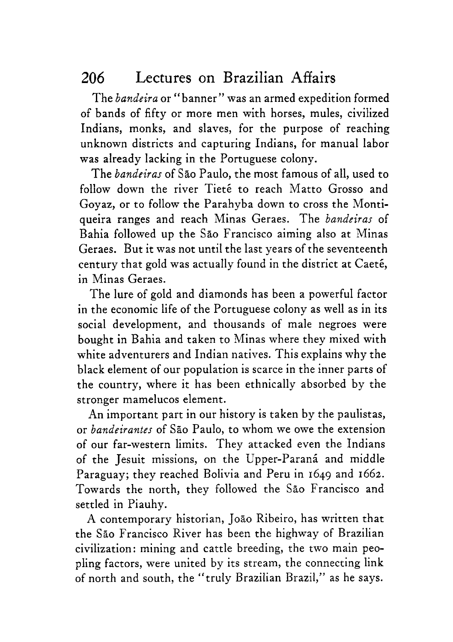The *bandeira* or "banner" was an armed expedition formed of bands of fifty or more men with horses, mules, civilized Indians, monks, and slaves, for the purpose of reaching unknown districts and capturing Indians, for manual labor was already lacking in the Portuguese colony.

The *bandeiras* of Sao Paulo, the most famous of all, used to follow down the river Tieté to reach Matto Grosso and Goyaz, or to follow the Parahyba down to cross the Montiqueira ranges and reach Minas Geraes. The *bandeiras* of Bahia followed up the Sao Francisco aiming also at Minas Geraes. But it was not until the last years of the seventeenth century that gold was actually found in the district at Caet6, in Minas Geraes.

The lure of gold and diamonds has been a powerful factor in the economic life of the Portuguese colony as well as in its social development, and thousands of male negroes were bought in Bahia and taken to Minas where they mixed with white adventurers and Indian natives. This explains why the black element of our population is scarce in the inner parts of the country, where it has been ethnically absorbed by the stronger mamelucos element.

An important part in our history is taken by the paulistas, or *bandeirantes* of Sao Paulo, to whom we owe the extension of our far-western limits. They attacked even the Indians of the Jesuit missions, on the Upper-Paraná and middle Paraguay; they reached Bolivia and Peru in 1649 and 1662. Towards the north, they followed the Sao Francisco and settled in Piauhy.

A contemporary historian, Jog0 Ribeiro, has written that the Sao Francisco River has been the highway of Brazilian civilization: mining and cattle breeding, the two main peopling factors, were united by its stream, the connecting link of north and south, the "truly Brazilian Brazil," as he says.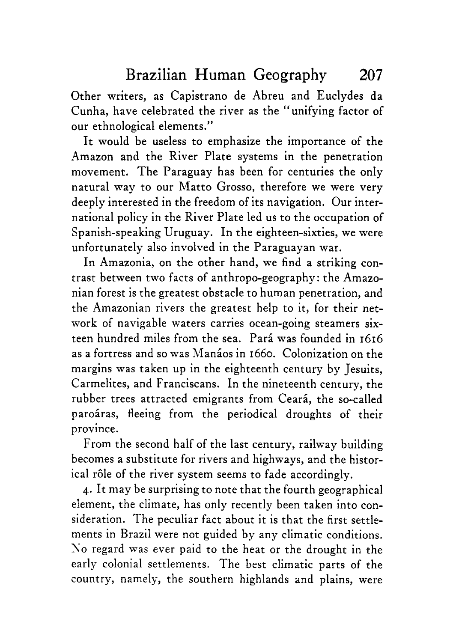Other writers, as Capistrano de Abreu and Euclydes da Cunha, have celebrated the river as the "unifying factor of our ethnological elements."

It would be useless to emphasize the importance of the Amazon and the River Plate systems in the penetration movement. The Paraguay has been for centuries the only natural way to our Matto Grosso, therefore we were very deeply interested in the freedom of its navigation. Our international policy in the River Plate led us to the occupation of Spanish-speaking Uruguay. In the eighteen-sixties, we were unfortunately also involved in the Paraguayan war.

In Amazonia, on the other hand, we find a striking contrast between two facts of anthropo-geography : the Amazonian forest is the greatest obstacle to human penetration, and the Amazonian rivers the greatest help to it, for their network of navigable waters carries ocean-going steamers sixteen hundred miles from the sea. Para was founded in 1616 as a fortress and so was Manaos in 1660. Colonization on the margins was taken up in the eighteenth century by Jesuits, Carmelites, and Franciscans. In the nineteenth century, the rubber trees attracted emigrants from Ceará, the so-called paroáras, fleeing from the periodical droughts of their province.

From the second half of the last century, railway building becomes a substitute for rivers and highways, and the historical rôle of the river system seems to fade accordingly.

**4.** It may be surprising to note that the fourth geographical element, the climate, has only recently been taken into consideration. The peculiar fact about it is that the first settlements in Brazil were not guided by any climatic conditions. No regard was ever paid to the heat or the drought in the early colonial settlements. The best climatic parts of the country, namely, the southern highlands and plains, were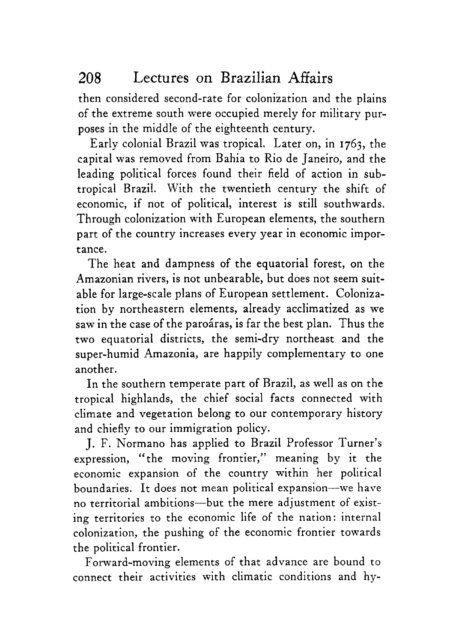then considered second-rate for colonization and the plains of the extreme south were occupied merely for military purposes in the middle of the eighteenth century.

Early colonial Brazil was tropical. Later on, in 1763, the capital was removed from Bahia to Rio de Janeiro, and the leading political forces found their field of action in subtropical Brazil. With the twentieth century the shift of economic, if not of political, interest is still southwards. Through colonization with European elements, the southern part of the country increases every year in economic importance.

The heat and dampness of the equatorial forest, on the Amazonian rivers, is not unbearable, but does not seem suitable for large-scale plans of European settlement. Colonization by northeastern elements, already acclimatized as we saw in the case of the paroaras, is far the best plan. Thus the two equatorial districts, the semi-dry northeast and the super-humid Amazonia, are happily complementary to one another.

In the southern temperate part of Brazil, as well as on the tropical highlands, the chief social facts connected with climate and vegetation belong to our contemporary history and chiefly to our immigration policy.

J. F. h'ormano has applied to Brazil Professor Turner's expression, "the moving frontier," meaning by it the economic expansion of the country within her political boundaries. It does not mean political expansion-we have no territorial ambitions-but the mere adjustment of existing territories to the economic life of the nation: internal colonization, the pushing of the economic frontier towards the political frontier.

Forward-moving elements of that advance are bound to connect their activities with climatic conditions and hy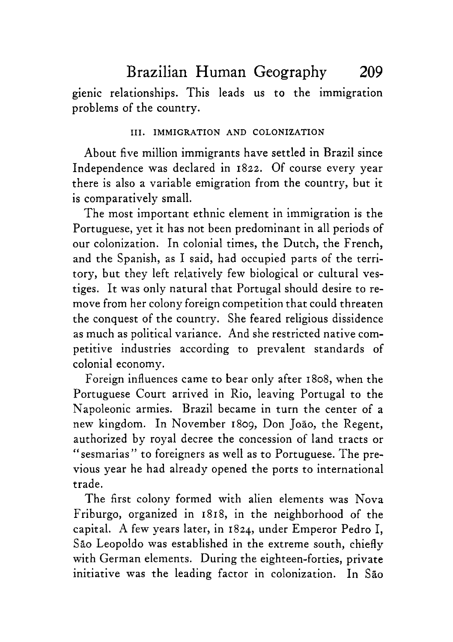Brazilian Human Geography 209

gienic relationships. This leads us to the immigration problems of the country.

#### 111. IMMIGRATION AND COLONIZATION

About five million immigrants have settled in Brazil since Independence was declared in **1822.** Of course every year there is also a variable emigration from the country, but it is comparatively small.

The most important ethnic element in immigration is the Portuguese, yet it has not been predominant in all periods of our colonization. In colonial times, the Dutch, the French, and the Spanish, as I said, had occupied parts of the territory, but they left relatively few biological or cultural vestiges. It was only natural that Portugal should desire to remove from her colony foreign competition that could threaten the conquest of the country. She feared religious dissidence as much as political variance. And she restricted native competitive industries according to prevalent standards of colonial economy.

Foreign influences came to bear only after 1808, when the Portuguese Court arrived in Rio, leaving Portugal to the Napoleonic armies. Brazil became in turn the center of a new kingdom. In November 1809, Don João, the Regent, authorized by royal decree the concession of land tracts or "sesmarias" to foreigners as well as to Portuguese. The previous year he had already opened the ports to international trade.

The first colony formed with alien elements was Nova Friburgo, organized in 1818, in the neighborhood of the capital. **A** few years later, in **1824,** under Emperor Pedro I, Sao Leopoldo was established in the extreme south, chiefly with German elements. During the eighteen-forties, private initiative was the leading factor in colonization. In São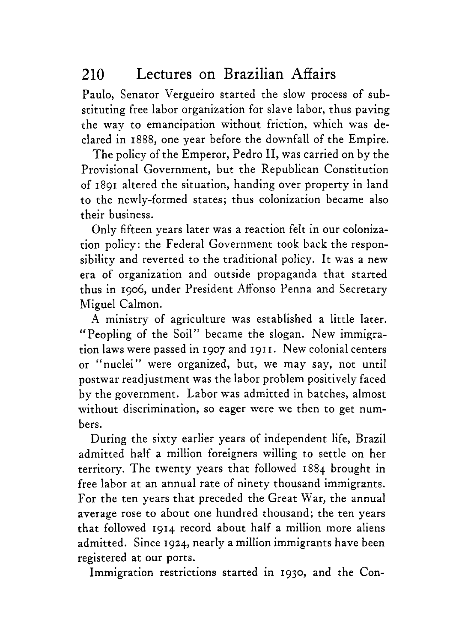Paulo, Senator Vergueiro started the slow process of substituting free labor organization for slave labor, thus paving the way to emancipation without friction, which was declared in **1888,** one year before the downfall of the Empire.

The policy of the Emperor, Pedro 11, was carried on by the Provisional Government, but the Republican Constitution of **1891** altered the situation, handing over property in land to the newly-formed states; thus colonization became also their business.

Only fifteen years later was a reaction felt in our colonization policy: the Federal Government took back the responsibility and reverted to the traditional policy. It was a new era of organization and outside propaganda that started thus in **1906,** under President Affonso Penna and Secretary Miguel Calmon.

**A** ministry of agriculture was established a little later. "Peopling of the Soil" became the slogan. New immigration laws were passed in **I907** and **191 I.** New colonial centers or "nuclei" were organized, but, we may say, not until postwar readjustment was the labor problem positively faced by the government. Labor was admitted in batches, almost without discrimination, so eager were we then to get numbers.

During the sixty earlier years of independent life, Brazil admitted half a million foreigners willing to settle on her territory. The twenty years that followed **1884** brought in free labor at an annual rate of ninety thousand immigrants. For the ten years that preceded the Great War, the annual average rose to about one hundred thousand; the ten years that followed **1914** record about half a million more aliens admitted. Since **1924,** nearly a million immigrants have been registered at our ports.

Immigration restrictions started in **1930,** and the Con-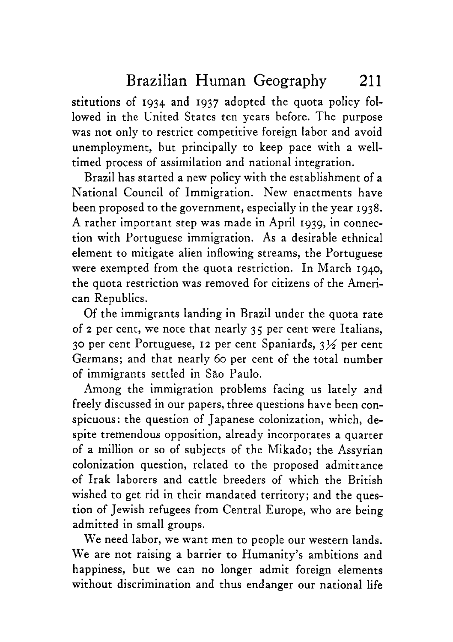stitutions of **1934** and **1937** adopted the quota policy followed in the United States ten years before. The purpose was not only to restrict competitive foreign labor and avoid unemployment, but principally to keep pace with a welltimed process of assimilation and national integration.

Brazil has started a new policy with the establishment of a National Council of Immigration. New enactments have been proposed to the government, especially in the year **1938.**  A rather important step was made in April **1939,** in connection with Portuguese immigration. As a desirable ethnical element to mitigate alien inflowing streams, the Portuguese were exempted from the quota restriction. In March **1940,**  the quota restriction was removed for citizens of the American Republics.

Of the immigrants landing in Brazil under the quota rate of **2** per cent, we note that nearly **35** per cent were Italians, **30** per cent Portuguese, **12** per cent Spaniards, **3%** per cent Germans; and that nearly 60 per cent of the total number of immigrants settled in Sao Paulo.

Among the immigration problems facing us lately and freely discussed in our papers, three questions have been conspicuous: the question of Japanese colonization, which, despite tremendous opposition, already incorporates a quarter of a million or so of subjects of the Mikado; the Assyrian colonization question, related to the proposed admittance of Irak laborers and cattle breeders of which the British wished to get rid in their mandated territory; and the question of Jewish refugees from Central Europe, who are being admitted in small groups.

We need labor, we want men to people our western lands. We are not raising a barrier to Humanity's ambitions and happiness, but we can no longer admit foreign elements without discrimination and thus endanger our national life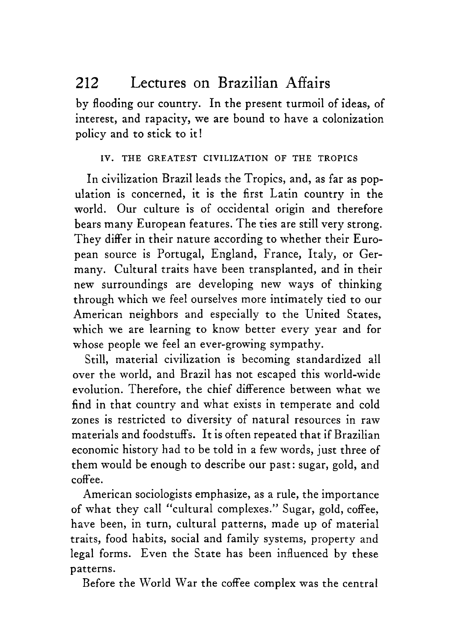by flooding our country. In the present turmoil of ideas, of interest, and rapacity, we are bound to have a colonization policy and to stick to it!

### IV. THE GREATEST CIVILIZATION OF THE TROPICS

In civilization Brazil leads the Tropics, and, as far as population is concerned, it is the first Latin country in the world. Our culture is of occidental origin and therefore bears many European features. The ties are still very strong. They differ in their nature according to whether their European source is Portugal, England, France, Italy, or Germany. Cultural traits have been transplanted, and in their new surroundings are developing new ways of thinking through which we feel ourselves more intimately tied to our American neighbors and especially to the United States, which we are learning to know better every year and for whose people we feel an ever-growing sympathy.

Still, material civilization is becoming standardized all over the world, and Brazil has not escaped this world-wide evolution. Therefore, the chief difference between what we find in that country and what exists in temperate and cold zones is restricted to diversity of natural resources in raw materials and foodstuffs. It is often repeated that if Brazilian economic history had to be told in a few words, just three of them would be enough to describe our past: sugar, gold, and coffee.

American sociologists emphasize, as a rule, the importance of what they call "cultural complexes." Sugar, gold, coffee, have been, in turn, cultural patterns, made up of material traits, food habits, social and family systems, property and legal forms. Even the State has been influenced by these patterns.

Before the World War the coffee complex was the central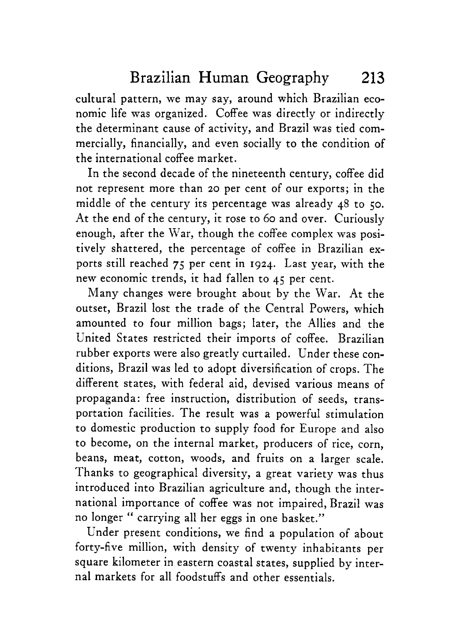cultural pattern, we may say, around which Brazilian economic life was organized. Coffee was directly or indirectly the determinant cause of activity, and Brazil was tied commercially, financially, and even socially to the condition of the international coffee market.

In the second decade of the nineteenth century, coffee did not represent more than 20 per cent of our exports; in the middle of the century its percentage was already 48 to **50.**  At the end of the century, it rose to 60 and over. Curiously enough, after the War, though the coffee complex was positively shattered, the percentage of coffee in Brazilian exports still reached **75** per cent in **1924.** Last year, with the new economic trends, it had fallen to **45** per cent.

Many changes were brought about by the War. At the outset, Brazil lost the trade of the Central Powers, which amounted to four million bags; later, the Allies and the United States restricted their imports of coffee. Brazilian rubber exports were also greatly curtailed. Under these conditions, Brazil was led to adopt diversification of crops. The different states, with federal aid, devised various means of propaganda: free instruction, distribution of seeds, transportation facilities. The result was a powerful stimulation to domestic production to supply food for Europe and also to become, on the internal market, producers of rice, corn, beans, meat, cotton, woods, and fruits on a larger scale. Thanks to geographical diversity, a great variety was thus introduced into Brazilian agriculture and, though the international importance of coffee was not impaired, Brazil was no longer " carrying all her eggs in one basket."

Under present conditions, we find a population of about forty-five million, with density of twenty inhabitants per square kilometer in eastern coastal states, supplied by internal markets for all foodstuffs and other essentials.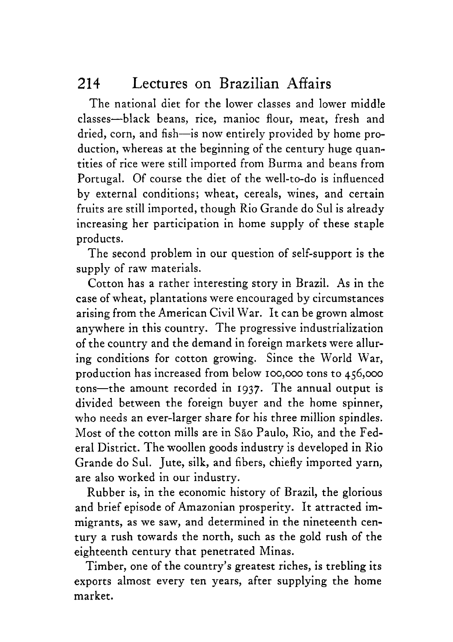The national diet for the lower classes and lower middle classes-black beans, rice, manioc flour, meat, fresh and dried, corn, and fish-is now entirely provided by home production, whereas at the beginning of the century huge quantities of rice were still imported from Burma and beans from Portugal. Of course the diet of the well-to-do is influenced by external conditions; wheat, cereals, wines, and certain fruits are still imported, though Rio Grande do Sul is already increasing her participation in home supply of these staple products.

The second problem in our question of self-support is the supply of raw materials.

Cotton has a rather interesting story in Brazil. **As** in the case of wheat, plantations were encouraged by circumstances arising from the American Civil War. It can be grown almost anywhere in this country. The progressive industrialization of the country and the demand in foreign markets were alluring conditions for cotton growing. Since the World War, production has increased from below 100,ooo tons to 456,000 tons-the amount recorded in **1937.** The annual output is divided between the foreign buyer and the home spinner, who needs an ever-larger share for his three million spindles. Most of the cotton mills are in Sao Paulo, Rio, and the Federal District. The woollen goods industry is developed in Rio Grande do Sul. Jute, silk, and fibers, chiefly imported yarn, are also worked in our industry.

Rubber is, in the economic history of Brazil, the glorious and brief episode of Amazonian prosperity. It attracted immigrants, as we saw, and determined in the nineteenth century a rush towards the north, such as the gold rush of the eighteenth century that penetrated Minas.

Timber, one of the country's greatest riches, is trebling its exports almost every ten years, after supplying the home market.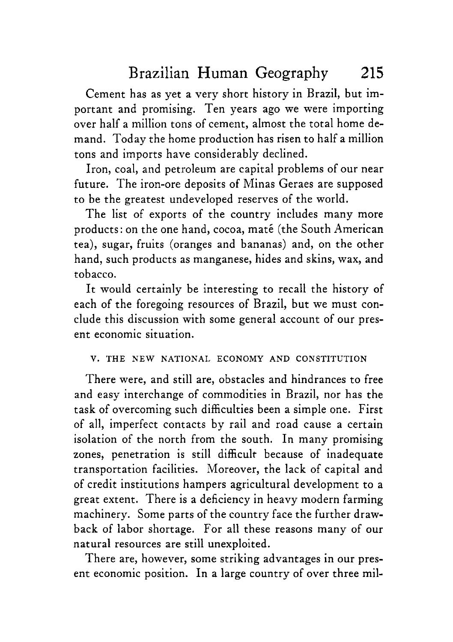Cement has as yet a very short history in Brazil, but important and promising. Ten years ago we were importing over half a million tons of cement, almost the total home demand. Today the home production has risen to half a million tons and imports have considerably declined.

Iron, coal, and petroleum are capital problems of our near future. The iron-ore deposits of Minas Geraes are supposed to be the greatest undeveloped reserves of the world.

The list of exports of the country includes many more products: on the one hand, cocoa, maté (the South American tea), sugar, fruits (oranges and bananas) and, on the other hand, such products as manganese, hides and skins, wax, and tobacco.

It would certainly be interesting to recall the history of each of the foregoing resources of Brazil, but we must conclude this discussion with some general account of our present economic situation.

#### V. THE **NEW** NATIONAL ECONOMY AND CONSTITUTION

There were, and still are, obstacles and hindrances to free and easy interchange of commodities in Brazil, nor has the task of overcoming such difficulties been a simple one. First of all, imperfect contacts by rail and road cause a certain isolation of the north from the south. In many promising zones, penetration is still difficult because of inadequate transportation facilities. Moreover, the lack of capital and of credit institutions hampers agricultural development to a great extent. There is a deficiency in heavy modern farming machinery. Some parts of the country face the further drawback of labor shortage. For all these reasons many of our natural resources are still unexploited.

There are, however, some striking advantages in our present economic position. In a large country of over three mil-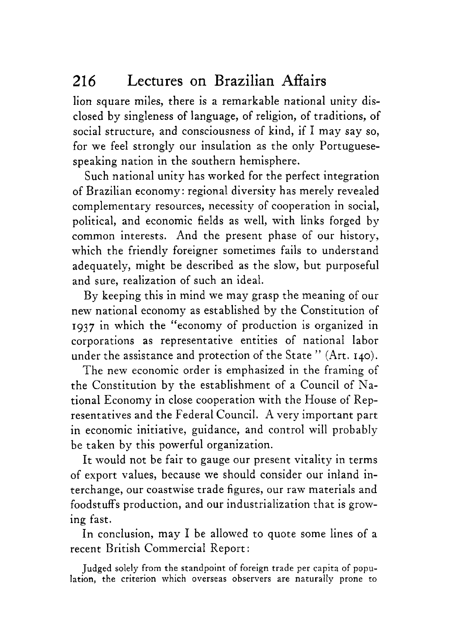lion square miles, there is a remarkable national unity disclosed by singleness of language, of religion, of traditions, of social structure, and consciousness of kind, if I may say so, for we feel strongly our insulation as the only Portuguesespeaking nation in the southern hemisphere.

Such national unity has worked for the perfect integration of Brazilian economy : regional diversity has merely revealed complementary resources, necessity of cooperation in social, political, and economic fields as well, with links forged by common interests. And the present phase of our history, which the friendly foreigner sometimes fails to understand adequately, might be described as the slow, but purposeful and sure, realization of such an ideal.

By keeping this in mind we may grasp the meaning of our new national economy as established by the Constitution of **1937** in which the "economy of production is organized in corporations as representative entities of national labor under the assistance and protection of the State " (Art. 140).

The new economic order is emphasized in the framing of the Constitution by the establishment of a Council of National Economy in close cooperation with the House of Representatives and the Federal Council. A very important part in economic initiative, guidance, and control will probably be taken by this powerful organization.

It would not be fair to gauge our present vitality in terms of export values, because we should consider our inland interchange, our coastwise trade figures, our raw materials and foodstuffs production, and our industrialization that is growing fast.

In conclusion, may I be allowed to quote some lines of a recent British Commercial Report :

Judged solely from the standpoint of foreign trade per capita of population, the criterion which overseas observers are naturally prone to